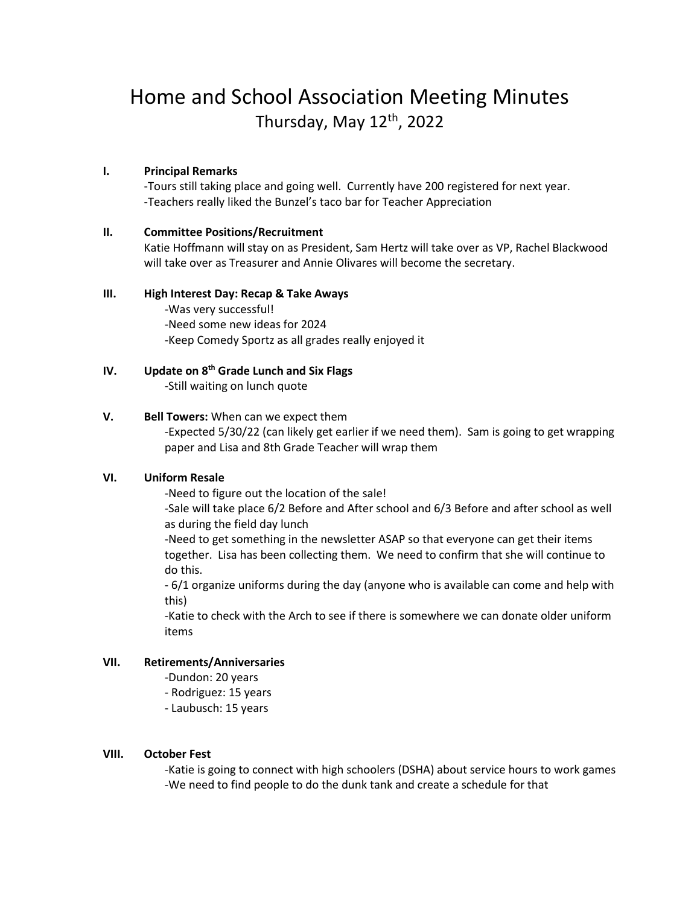# Home and School Association Meeting Minutes Thursday, May 12<sup>th</sup>, 2022

# **I. Principal Remarks**

-Tours still taking place and going well. Currently have 200 registered for next year. -Teachers really liked the Bunzel's taco bar for Teacher Appreciation

# **II. Committee Positions/Recruitment**

Katie Hoffmann will stay on as President, Sam Hertz will take over as VP, Rachel Blackwood will take over as Treasurer and Annie Olivares will become the secretary.

# **III. High Interest Day: Recap & Take Aways**

-Was very successful! -Need some new ideas for 2024 -Keep Comedy Sportz as all grades really enjoyed it

# **IV. Update on 8th Grade Lunch and Six Flags**

-Still waiting on lunch quote

# **V. Bell Towers:** When can we expect them

-Expected 5/30/22 (can likely get earlier if we need them). Sam is going to get wrapping paper and Lisa and 8th Grade Teacher will wrap them

# **VI. Uniform Resale**

-Need to figure out the location of the sale!

-Sale will take place 6/2 Before and After school and 6/3 Before and after school as well as during the field day lunch

-Need to get something in the newsletter ASAP so that everyone can get their items together. Lisa has been collecting them. We need to confirm that she will continue to do this.

- 6/1 organize uniforms during the day (anyone who is available can come and help with this)

-Katie to check with the Arch to see if there is somewhere we can donate older uniform items

#### **VII. Retirements/Anniversaries**

- -Dundon: 20 years
- Rodriguez: 15 years
- Laubusch: 15 years

## **VIII. October Fest**

-Katie is going to connect with high schoolers (DSHA) about service hours to work games -We need to find people to do the dunk tank and create a schedule for that